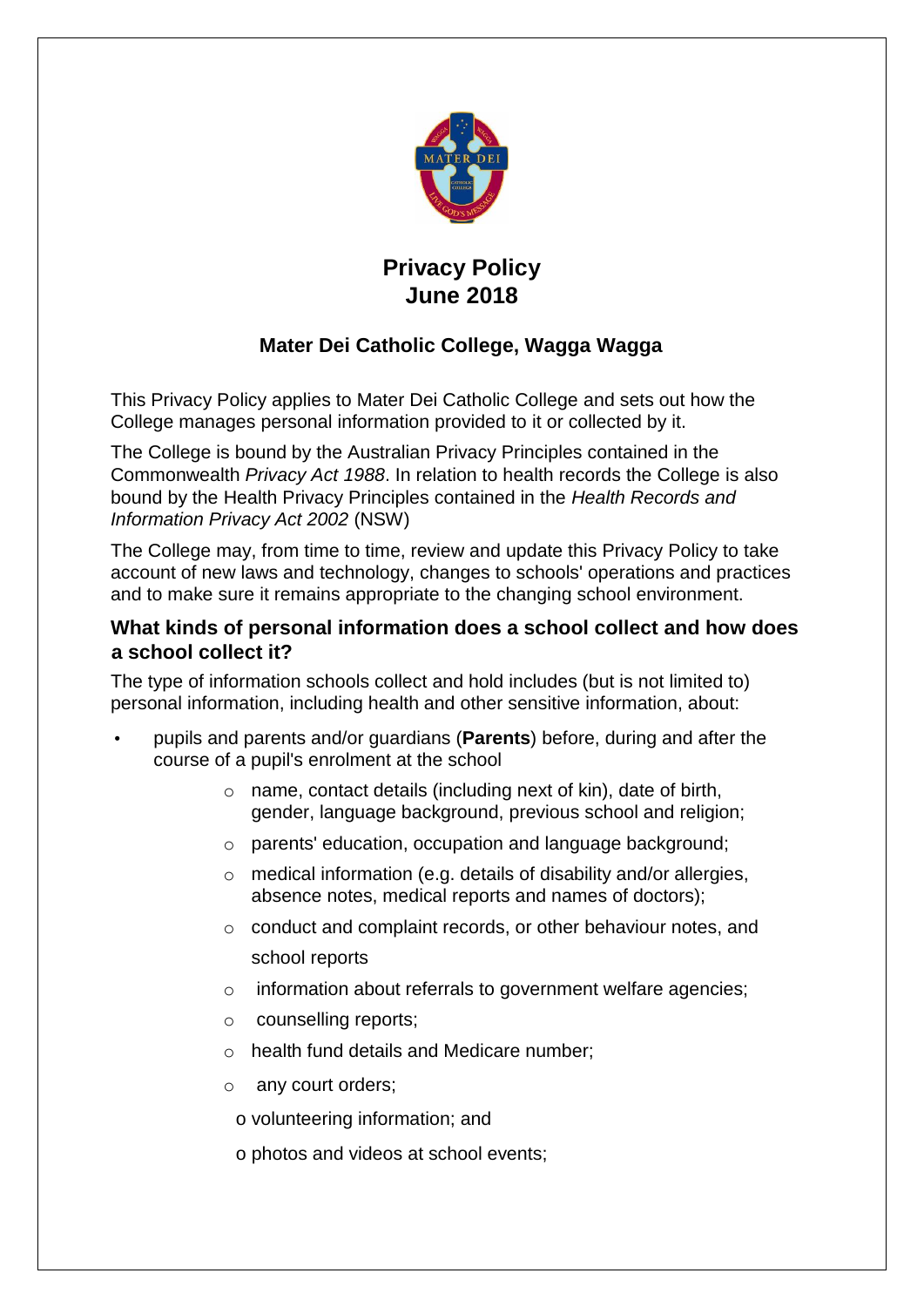

# **Privacy Policy June 2018**

# **Mater Dei Catholic College, Wagga Wagga**

This Privacy Policy applies to Mater Dei Catholic College and sets out how the College manages personal information provided to it or collected by it.

The College is bound by the Australian Privacy Principles contained in the Commonwealth *Privacy Act 1988*. In relation to health records the College is also bound by the Health Privacy Principles contained in the *Health Records and Information Privacy Act 2002* (NSW)

The College may, from time to time, review and update this Privacy Policy to take account of new laws and technology, changes to schools' operations and practices and to make sure it remains appropriate to the changing school environment.

## **What kinds of personal information does a school collect and how does a school collect it?**

The type of information schools collect and hold includes (but is not limited to) personal information, including health and other sensitive information, about:

- pupils and parents and/or guardians (**Parents**) before, during and after the course of a pupil's enrolment at the school
	- o name, contact details (including next of kin), date of birth, gender, language background, previous school and religion;
	- o parents' education, occupation and language background;
	- $\circ$  medical information (e.g. details of disability and/or allergies, absence notes, medical reports and names of doctors);
	- o conduct and complaint records, or other behaviour notes, and school reports
	- o information about referrals to government welfare agencies;
	- o counselling reports;
	- o health fund details and Medicare number;
	- o any court orders;
	- o volunteering information; and
	- o photos and videos at school events;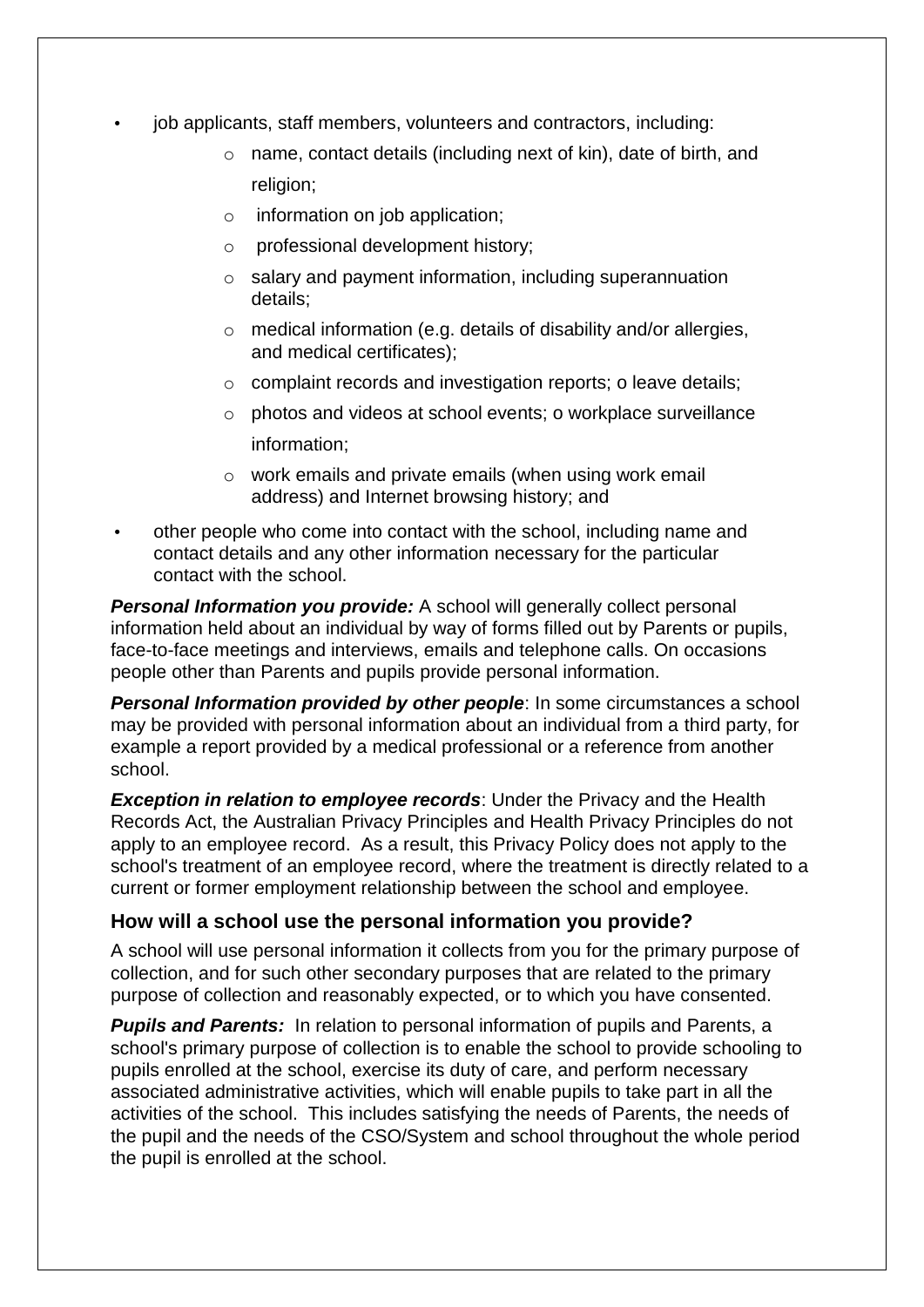- job applicants, staff members, volunteers and contractors, including:
	- o name, contact details (including next of kin), date of birth, and religion;
	- o information on job application;
	- o professional development history;
	- o salary and payment information, including superannuation details;
	- $\circ$  medical information (e.g. details of disability and/or allergies, and medical certificates);
	- o complaint records and investigation reports; o leave details;
	- o photos and videos at school events; o workplace surveillance information;
	- o work emails and private emails (when using work email address) and Internet browsing history; and
- other people who come into contact with the school, including name and contact details and any other information necessary for the particular contact with the school.

*Personal Information you provide:* A school will generally collect personal information held about an individual by way of forms filled out by Parents or pupils, face-to-face meetings and interviews, emails and telephone calls. On occasions people other than Parents and pupils provide personal information.

**Personal Information provided by other people:** In some circumstances a school may be provided with personal information about an individual from a third party, for example a report provided by a medical professional or a reference from another school.

*Exception in relation to employee records*: Under the Privacy and the Health Records Act, the Australian Privacy Principles and Health Privacy Principles do not apply to an employee record. As a result, this Privacy Policy does not apply to the school's treatment of an employee record, where the treatment is directly related to a current or former employment relationship between the school and employee.

#### **How will a school use the personal information you provide?**

A school will use personal information it collects from you for the primary purpose of collection, and for such other secondary purposes that are related to the primary purpose of collection and reasonably expected, or to which you have consented.

*Pupils and Parents:* In relation to personal information of pupils and Parents, a school's primary purpose of collection is to enable the school to provide schooling to pupils enrolled at the school, exercise its duty of care, and perform necessary associated administrative activities, which will enable pupils to take part in all the activities of the school. This includes satisfying the needs of Parents, the needs of the pupil and the needs of the CSO/System and school throughout the whole period the pupil is enrolled at the school.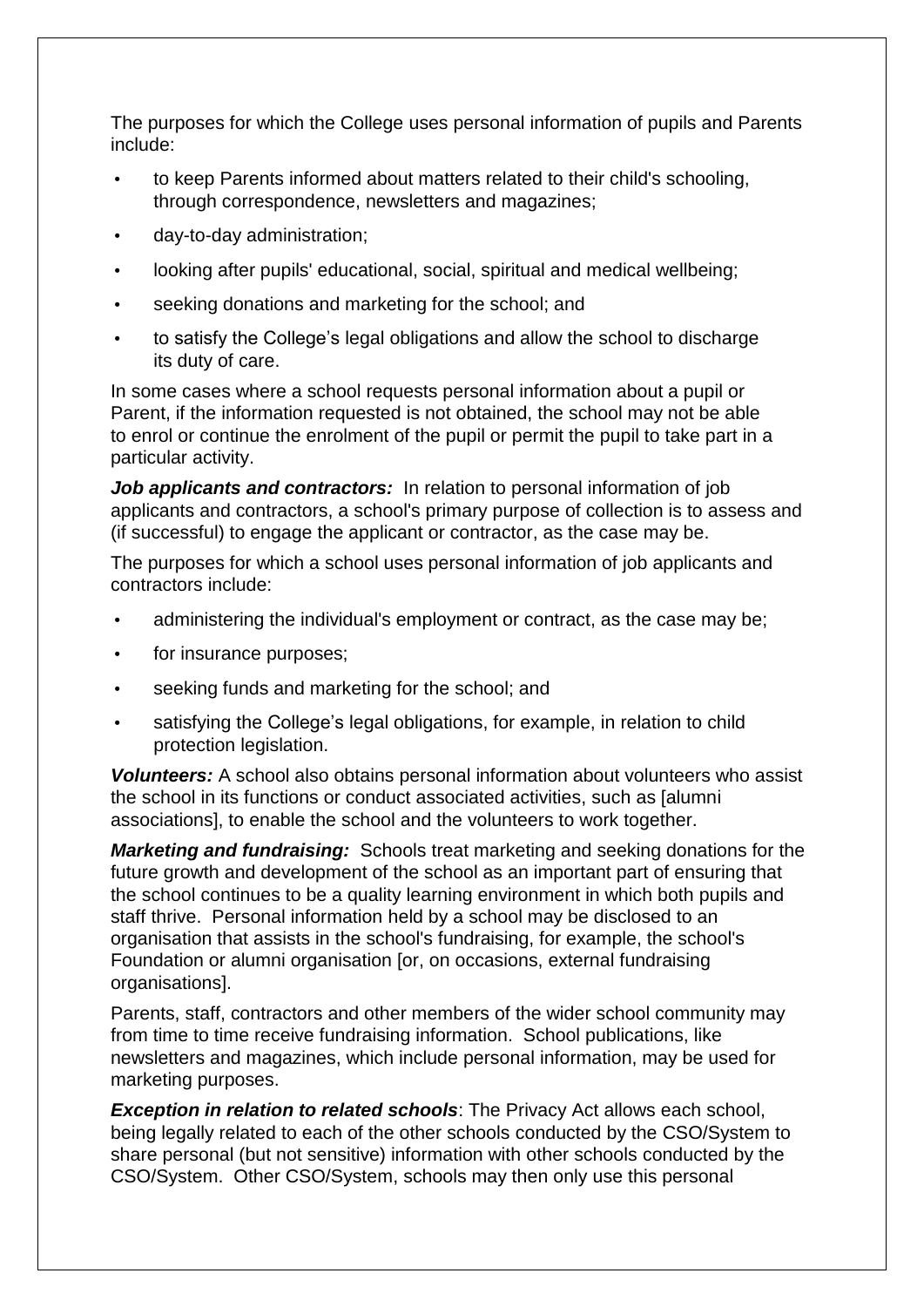The purposes for which the College uses personal information of pupils and Parents include:

- to keep Parents informed about matters related to their child's schooling, through correspondence, newsletters and magazines;
- day-to-day administration;
- looking after pupils' educational, social, spiritual and medical wellbeing;
- seeking donations and marketing for the school; and
- to satisfy the College's legal obligations and allow the school to discharge its duty of care.

In some cases where a school requests personal information about a pupil or Parent, if the information requested is not obtained, the school may not be able to enrol or continue the enrolment of the pupil or permit the pupil to take part in a particular activity.

*Job applicants and contractors:* In relation to personal information of job applicants and contractors, a school's primary purpose of collection is to assess and (if successful) to engage the applicant or contractor, as the case may be.

The purposes for which a school uses personal information of job applicants and contractors include:

- administering the individual's employment or contract, as the case may be;
- for insurance purposes;
- seeking funds and marketing for the school; and
- satisfying the College's legal obligations, for example, in relation to child protection legislation.

*Volunteers:* A school also obtains personal information about volunteers who assist the school in its functions or conduct associated activities, such as [alumni associations], to enable the school and the volunteers to work together.

*Marketing and fundraising:* Schools treat marketing and seeking donations for the future growth and development of the school as an important part of ensuring that the school continues to be a quality learning environment in which both pupils and staff thrive. Personal information held by a school may be disclosed to an organisation that assists in the school's fundraising, for example, the school's Foundation or alumni organisation [or, on occasions, external fundraising organisations].

Parents, staff, contractors and other members of the wider school community may from time to time receive fundraising information. School publications, like newsletters and magazines, which include personal information, may be used for marketing purposes.

*Exception in relation to related schools*: The Privacy Act allows each school, being legally related to each of the other schools conducted by the CSO/System to share personal (but not sensitive) information with other schools conducted by the CSO/System. Other CSO/System, schools may then only use this personal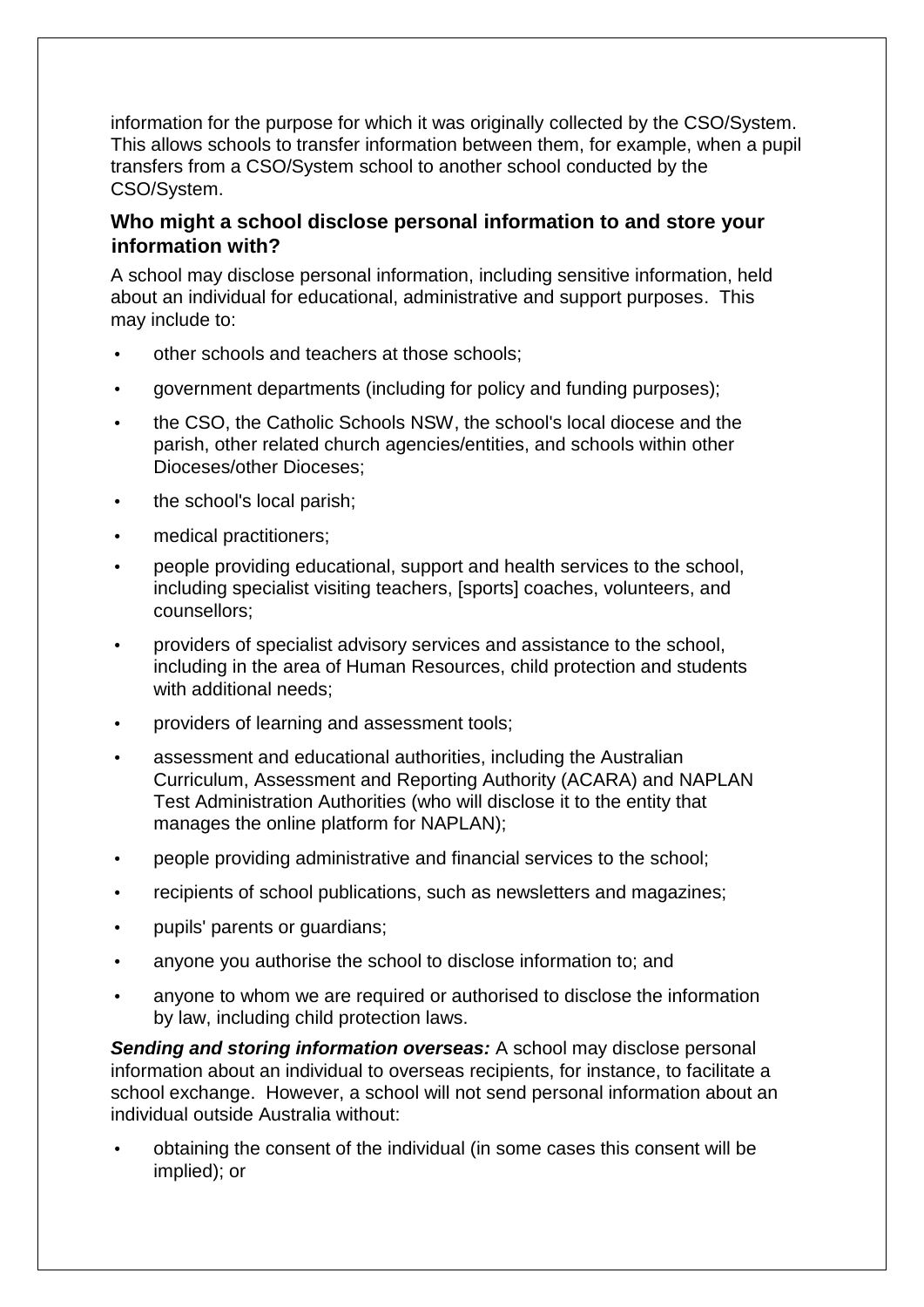information for the purpose for which it was originally collected by the CSO/System. This allows schools to transfer information between them, for example, when a pupil transfers from a CSO/System school to another school conducted by the CSO/System.

#### **Who might a school disclose personal information to and store your information with?**

A school may disclose personal information, including sensitive information, held about an individual for educational, administrative and support purposes. This may include to:

- other schools and teachers at those schools;
- government departments (including for policy and funding purposes);
- the CSO, the Catholic Schools NSW, the school's local diocese and the parish, other related church agencies/entities, and schools within other Dioceses/other Dioceses;
- the school's local parish;
- medical practitioners;
- people providing educational, support and health services to the school, including specialist visiting teachers, [sports] coaches, volunteers, and counsellors;
- providers of specialist advisory services and assistance to the school, including in the area of Human Resources, child protection and students with additional needs:
- providers of learning and assessment tools;
- assessment and educational authorities, including the Australian Curriculum, Assessment and Reporting Authority (ACARA) and NAPLAN Test Administration Authorities (who will disclose it to the entity that manages the online platform for NAPLAN);
- people providing administrative and financial services to the school;
- recipients of school publications, such as newsletters and magazines;
- pupils' parents or guardians;
- anyone you authorise the school to disclose information to; and
- anyone to whom we are required or authorised to disclose the information by law, including child protection laws.

*Sending and storing information overseas:* A school may disclose personal information about an individual to overseas recipients, for instance, to facilitate a school exchange. However, a school will not send personal information about an individual outside Australia without:

• obtaining the consent of the individual (in some cases this consent will be implied); or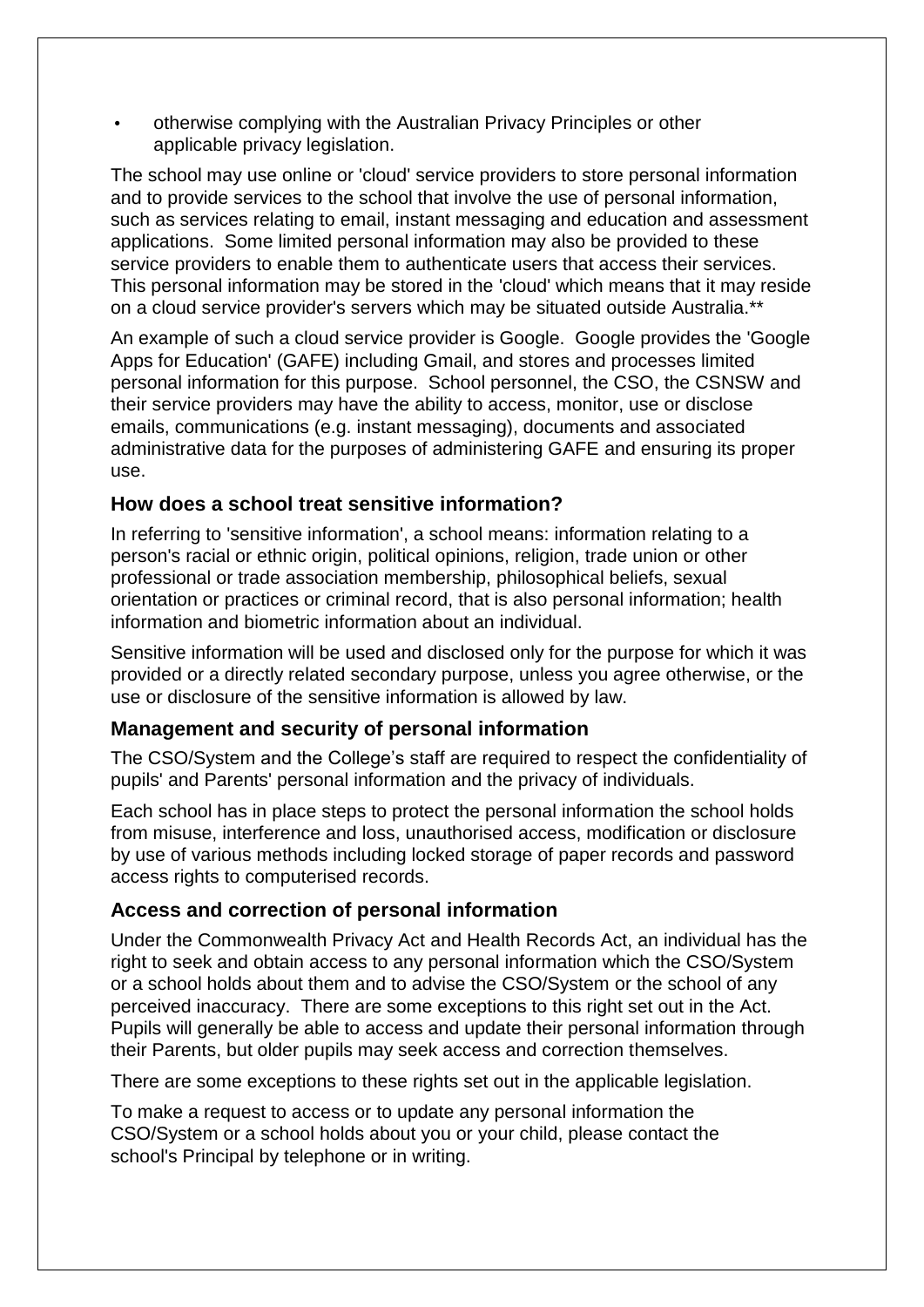• otherwise complying with the Australian Privacy Principles or other applicable privacy legislation.

The school may use online or 'cloud' service providers to store personal information and to provide services to the school that involve the use of personal information, such as services relating to email, instant messaging and education and assessment applications. Some limited personal information may also be provided to these service providers to enable them to authenticate users that access their services. This personal information may be stored in the 'cloud' which means that it may reside on a cloud service provider's servers which may be situated outside Australia.\*\*

An example of such a cloud service provider is Google. Google provides the 'Google Apps for Education' (GAFE) including Gmail, and stores and processes limited personal information for this purpose. School personnel, the CSO, the CSNSW and their service providers may have the ability to access, monitor, use or disclose emails, communications (e.g. instant messaging), documents and associated administrative data for the purposes of administering GAFE and ensuring its proper use.

#### **How does a school treat sensitive information?**

In referring to 'sensitive information', a school means: information relating to a person's racial or ethnic origin, political opinions, religion, trade union or other professional or trade association membership, philosophical beliefs, sexual orientation or practices or criminal record, that is also personal information; health information and biometric information about an individual.

Sensitive information will be used and disclosed only for the purpose for which it was provided or a directly related secondary purpose, unless you agree otherwise, or the use or disclosure of the sensitive information is allowed by law.

#### **Management and security of personal information**

The CSO/System and the College's staff are required to respect the confidentiality of pupils' and Parents' personal information and the privacy of individuals.

Each school has in place steps to protect the personal information the school holds from misuse, interference and loss, unauthorised access, modification or disclosure by use of various methods including locked storage of paper records and password access rights to computerised records.

# **Access and correction of personal information**

Under the Commonwealth Privacy Act and Health Records Act, an individual has the right to seek and obtain access to any personal information which the CSO/System or a school holds about them and to advise the CSO/System or the school of any perceived inaccuracy. There are some exceptions to this right set out in the Act. Pupils will generally be able to access and update their personal information through their Parents, but older pupils may seek access and correction themselves.

There are some exceptions to these rights set out in the applicable legislation.

To make a request to access or to update any personal information the CSO/System or a school holds about you or your child, please contact the school's Principal by telephone or in writing.